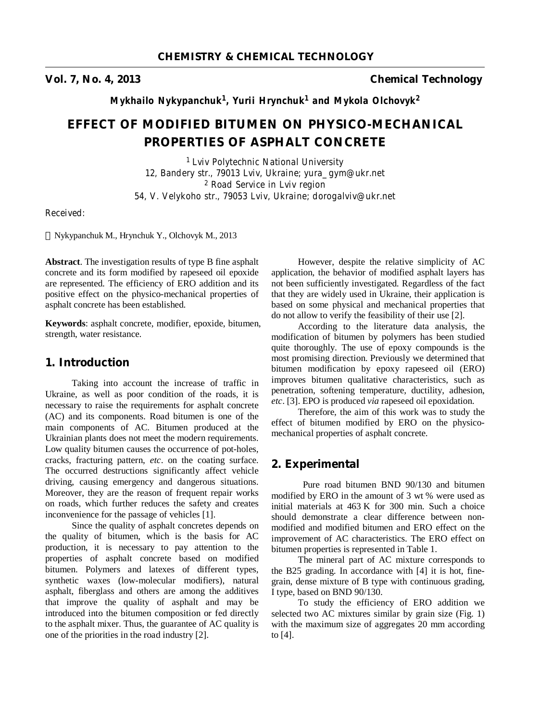**Vol. 7, No. 4, 2013 Chemical Technology**

*Mykhailo Nykypanchuk<sup>1</sup> , Yurii Hrynchuk<sup>1</sup> and Mykola Olchovyk<sup>2</sup>*

# **EFFECT OF MODIFIED BITUMEN ON PHYSICO-MECHANICAL PROPERTIES OF ASPHALT CONCRETE**

*<sup>1</sup>Lviv Polytechnic National University 12, Bandery str., 79013 Lviv, Ukraine; yura\_gym@ukr.net <sup>2</sup> Road Service in Lviv region 54, V. Velykoho str., 79053 Lviv, Ukraine; dorogalviv@ukr.net* 

*Received:* 

Nykypanchuk M., Hrynchuk Y., Olchovyk M., 2013

**Abstract**. The investigation results of type B fine asphalt concrete and its form modified by rapeseed oil epoxide are represented. The efficiency of ERO addition and its positive effect on the physico-mechanical properties of asphalt concrete has been established.

**Keywords**: asphalt concrete, modifier, epoxide, bitumen, strength, water resistance.

### **1. Introduction**

Taking into account the increase of traffic in Ukraine, as well as poor condition of the roads, it is necessary to raise the requirements for asphalt concrete (AC) and its components. Road bitumen is one of the main components of AC. Bitumen produced at the Ukrainian plants does not meet the modern requirements. Low quality bitumen causes the occurrence of pot-holes, cracks, fracturing pattern, *etc*. on the coating surface. The occurred destructions significantly affect vehicle driving, causing emergency and dangerous situations. Moreover, they are the reason of frequent repair works on roads, which further reduces the safety and creates inconvenience for the passage of vehicles [1].

Since the quality of asphalt concretes depends on the quality of bitumen, which is the basis for AC production, it is necessary to pay attention to the properties of asphalt concrete based on modified bitumen. Polymers and latexes of different types, synthetic waxes (low-molecular modifiers), natural asphalt, fiberglass and others are among the additives that improve the quality of asphalt and may be introduced into the bitumen composition or fed directly to the asphalt mixer. Thus, the guarantee of AC quality is one of the priorities in the road industry [2].

However, despite the relative simplicity of AC application, the behavior of modified asphalt layers has not been sufficiently investigated. Regardless of the fact that they are widely used in Ukraine, their application is based on some physical and mechanical properties that do not allow to verify the feasibility of their use [2].

According to the literature data analysis, the modification of bitumen by polymers has been studied quite thoroughly. The use of epoxy compounds is the most promising direction. Previously we determined that bitumen modification by epoxy rapeseed oil (ERO) improves bitumen qualitative characteristics, such as penetration, softening temperature, ductility, adhesion, *etc*. [3]. EPO is produced *via* rapeseed oil epoxidation.

Therefore, the aim of this work was to study the effect of bitumen modified by ERO on the physicomechanical properties of asphalt concrete.

## **2. Experimental**

Pure road bitumen BND 90/130 and bitumen modified by ERO in the amount of 3 wt % were used as initial materials at 463 K for 300 min. Such a choice should demonstrate a clear difference between nonmodified and modified bitumen and ERO effect on the improvement of AC characteristics. The ERO effect on bitumen properties is represented in Table 1.

The mineral part of AC mixture corresponds to the B25 grading. In accordance with [4] it is hot, finegrain, dense mixture of B type with continuous grading, I type, based on BND 90/130.

To study the efficiency of ERO addition we selected two AC mixtures similar by grain size (Fig. 1) with the maximum size of aggregates 20 mm according to [4].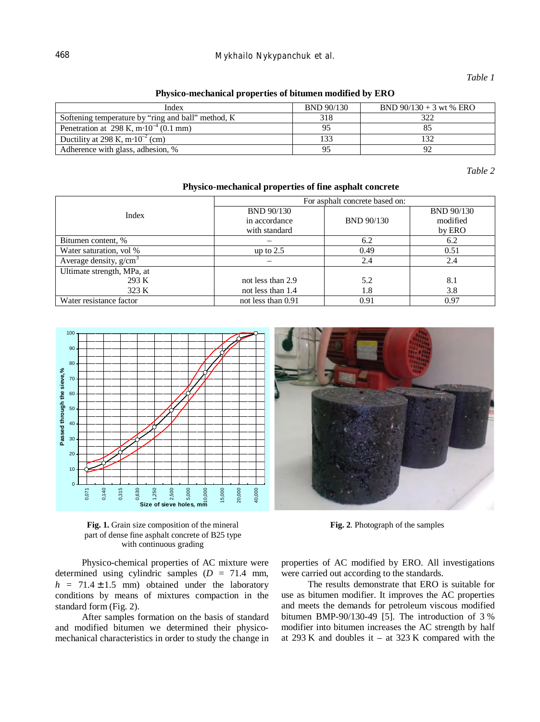## 468 *Mykhailo Nykypanchuk et al.*

### *Table 1*

**Physico-mechanical properties of bitumen modified by ERO** 

| Index                                               | <b>BND 90/130</b> | BND $90/130 + 3$ wt % ERO |
|-----------------------------------------------------|-------------------|---------------------------|
| Softening temperature by "ring and ball" method, K  | 318               | 372                       |
| Penetration at 298 K, m $\cdot 10^{-4}$ (0.1 mm)    | 95                |                           |
| Ductility at 298 K, m $\cdot$ 10 <sup>-2</sup> (cm) | 133               |                           |
| Adherence with glass, adhesion, %                   | 95                |                           |

*Table 2* 

| Index                      | For asphalt concrete based on: |                   |                   |  |
|----------------------------|--------------------------------|-------------------|-------------------|--|
|                            | BND 90/130                     |                   | <b>BND 90/130</b> |  |
|                            | in accordance                  | <b>BND 90/130</b> | modified          |  |
|                            | with standard                  |                   | by ERO            |  |
| Bitumen content, %         |                                | 6.2               | 6.2               |  |
| Water saturation, vol %    | up to $2.5$                    | 0.49              | 0.51              |  |
| Average density, $g/cm3$   |                                | 2.4               | 2.4               |  |
| Ultimate strength, MPa, at |                                |                   |                   |  |
| 293 K                      | not less than 2.9              | 5.2               | 8.1               |  |
| 323 K                      | not less than 1.4              | 1.8               | 3.8               |  |
| Water resistance factor    | not less than 0.91             | 0.91              | 0.97              |  |

#### **Physico-mechanical properties of fine asphalt concrete**



**Fig. 1.** Grain size composition of the mineral part of dense fine asphalt concrete of B25 type with continuous grading

Physico-chemical properties of AC mixture were determined using cylindric samples  $(D = 71.4$  mm,  $h = 71.4 \pm 1.5$  mm) obtained under the laboratory conditions by means of mixtures compaction in the standard form (Fig. 2).

After samples formation on the basis of standard and modified bitumen we determined their physicomechanical characteristics in order to study the change in properties of AC modified by ERO. All investigations were carried out according to the standards.

**Fig. 2**. Photograph of the samples

The results demonstrate that ERO is suitable for use as bitumen modifier. It improves the AC properties and meets the demands for petroleum viscous modified bitumen BMP-90/130-49 [5]. The introduction of 3 % modifier into bitumen increases the AC strength by half at 293 K and doubles it – at 323 K compared with the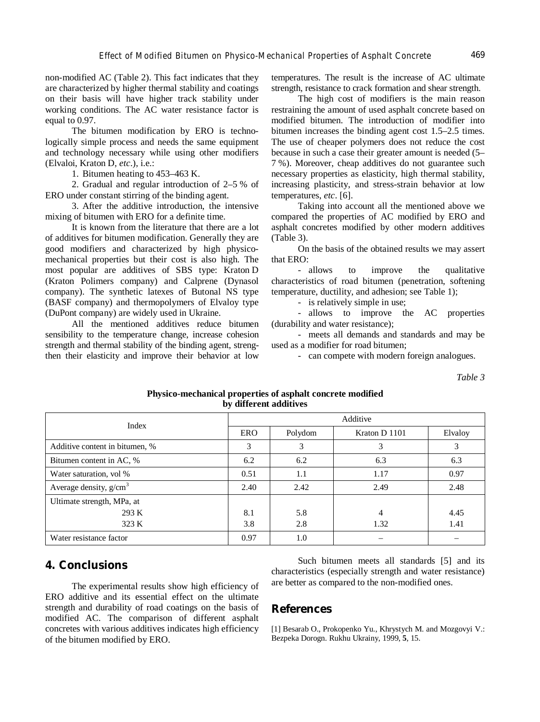non-modified AC (Table 2). This fact indicates that they are characterized by higher thermal stability and coatings on their basis will have higher track stability under working conditions. The AC water resistance factor is equal to 0.97.

The bitumen modification by ERO is technologically simple process and needs the same equipment and technology necessary while using other modifiers (Elvaloi, Kraton D, *etc*.), i.e.:

1. Bitumen heating to 453–463 K.

2. Gradual and regular introduction of 2–5 % of ERO under constant stirring of the binding agent.

3. After the additive introduction, the intensive mixing of bitumen with ERO for a definite time.

It is known from the literature that there are a lot of additives for bitumen modification. Generally they are good modifiers and characterized by high physicomechanical properties but their cost is also high. The most popular are additives of SBS type: Kraton D (Kraton Polimers company) and Calprene (Dynasol company). The synthetic latexes of Butonal NS type (BASF company) and thermopolymers of Elvaloy type (DuPont company) are widely used in Ukraine.

All the mentioned additives reduce bitumen sensibility to the temperature change, increase cohesion strength and thermal stability of the binding agent, strengthen their elasticity and improve their behavior at low

temperatures. The result is the increase of AC ultimate strength, resistance to crack formation and shear strength.

The high cost of modifiers is the main reason restraining the amount of used asphalt concrete based on modified bitumen. The introduction of modifier into bitumen increases the binding agent cost 1.5–2.5 times. The use of cheaper polymers does not reduce the cost because in such a case their greater amount is needed (5– 7 %). Moreover, cheap additives do not guarantee such necessary properties as elasticity, high thermal stability, increasing plasticity, and stress-strain behavior at low temperatures, *etc*. [6].

Taking into account all the mentioned above we compared the properties of AC modified by ERO and asphalt concretes modified by other modern additives (Table 3).

On the basis of the obtained results we may assert that ERO:

- allows to improve the qualitative characteristics of road bitumen (penetration, softening temperature, ductility, and adhesion; see Table 1);

- is relatively simple in use;

- allows to improve the AC properties (durability and water resistance);

- meets all demands and standards and may be used as a modifier for road bitumen;

- can compete with modern foreign analogues.

*Table 3* 

| by different additives         |      |          |               |         |  |  |  |
|--------------------------------|------|----------|---------------|---------|--|--|--|
| Index                          |      | Additive |               |         |  |  |  |
|                                | ERO  | Polydom  | Kraton D 1101 | Elvaloy |  |  |  |
| Additive content in bitumen, % | 3    | 3        | 3             | 3       |  |  |  |
| Bitumen content in AC, %       | 6.2  | 6.2      | 6.3           | 6.3     |  |  |  |
| Water saturation, vol %        | 0.51 | 1.1      | 1.17          | 0.97    |  |  |  |
| Average density, $g/cm3$       | 2.40 | 2.42     | 2.49          | 2.48    |  |  |  |
| Ultimate strength, MPa, at     |      |          |               |         |  |  |  |
| 293 K                          | 8.1  | 5.8      | 4             | 4.45    |  |  |  |
| 323 K                          | 3.8  | 2.8      | 1.32          | 1.41    |  |  |  |
| Water resistance factor        | 0.97 | $1.0\,$  |               |         |  |  |  |

### **Physico-mechanical properties of asphalt concrete modified by different additives**

# **4. Conclusions**

The experimental results show high efficiency of ERO additive and its essential effect on the ultimate strength and durability of road coatings on the basis of modified AC. The comparison of different asphalt concretes with various additives indicates high efficiency of the bitumen modified by ERO.

Such bitumen meets all standards [5] and its characteristics (especially strength and water resistance) are better as compared to the non-modified ones.

### **References**

[1] Besarab O., Prokopenko Yu., Khrystych M. and Mozgovyi V.: Bezpeka Dorogn. Rukhu Ukrainy, 1999, **5**, 15.